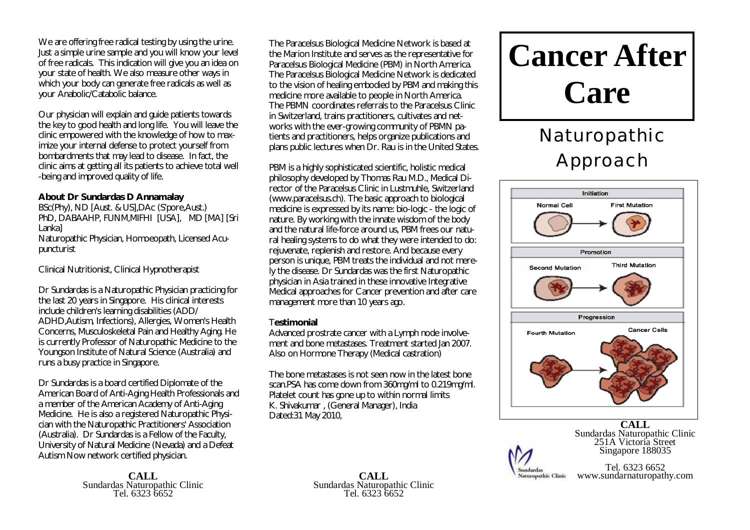We are offering free radical testing by using the urine. Just a simple urine sample and you will know your level of free radicals. This indication will give you an idea on your state of health. We also measure other ways in which your body can generate free radicals as well as your Anabolic/Catabolic balance.

Our physician will explain and guide patients towards the key to good health and long life. You will leave the clinic empowered with the knowledge of how to maximize your internal defense to protect yourself from bombardments that may lead to disease. In fact, the clinic aims at getting all its patients to achieve total well -being and improved quality of life.

### **About Dr Sundardas D Annamalay**

BSc(Phy), ND [Aust. & US],DAc (S'pore,Aust.) PhD, DABAAHP, FUNM,MIFHI [USA], MD [MA] [Sri Lanka] Naturopathic Physician, Homoeopath, Licensed Acupuncturist

Clinical Nutritionist, Clinical Hypnotherapist

Dr Sundardas is a Naturopathic Physician practicing for the last 20 years in Singapore. His clinical interests include children's learning disabilities (ADD/ ADHD,Autism, Infections), Allergies, Women's Health Concerns, Musculoskeletal Pain and Healthy Aging. He is currently Professor of Naturopathic Medicine to the Youngson Institute of Natural Science (Australia) and runs a busy practice in Singapore.

Dr Sundardas is a board certified Diplomate of the American Board of Anti-Aging Health Professionals and a member of the American Academy of Anti-Aging Medicine. He is also a registered Naturopathic Physician with the Naturopathic Practitioners' Association (Australia). Dr Sundardas is a Fellow of the Faculty, University of Natural Medicine (Nevada) and a Defeat Autism Now network certified physician.

> **CALL** Sundardas Naturopathic Clinic Tel. 6323 6652

The Paracelsus Biological Medicine Network is based at the Marion Institute and serves as the representative for Paracelsus Biological Medicine (PBM) in North America. The Paracelsus Biological Medicine Network is dedicated to the vision of healing embodied by PBM and making this medicine more available to people in North America. The PBMN coordinates referrals to the Paracelsus Clinic in Switzerland, trains practitioners, cultivates and networks with the ever-growing community of PBMN patients and practitioners, helps organize publications and plans public lectures when Dr. Rau is in the United States.

PBM is a highly sophisticated scientific, holistic medical philosophy developed by Thomas Rau M.D., Medical Director of the Paracelsus Clinic in Lustmuhle, Switzerland [\(www.paracelsus.ch\).](http://www.paracelsus.ch).) The basic approach to biological medicine is expressed by its name: bio-logic - the logic of nature. By working with the innate wisdom of the body and the natural life-force around us, PBM frees our natural healing systems to do what they were intended to do: rejuvenate, replenish and restore. And because every person is unique, PBM treats the individual and not merely the disease. Dr Sundardas was the first Naturopathic physician in Asia trained in these innovative Integrative Medical approaches for Cancer prevention and after care management more than 10 years ago.

### T**estimonial**

Advanced prostrate cancer with a Lymph node involvement and bone metastases. Treatment started Jan 2007. Also on Hormone Therapy (Medical castration)

The bone metastases is not seen now in the latest bone scan.PSA has come down from 360mg/ml to 0.219mg/ml. Platelet count has gone up to within normal limits K. Shivakumar , (General Manager), India Dated:31 May 2010,

> **CALL** Sundardas Naturopathic Clinic Tel. 6323 6652

# **Cancer After Care**

# Naturopathic Approach



**CALL** Sundardas Naturopathic Clinic 251A Victoria Street Singapore 188035